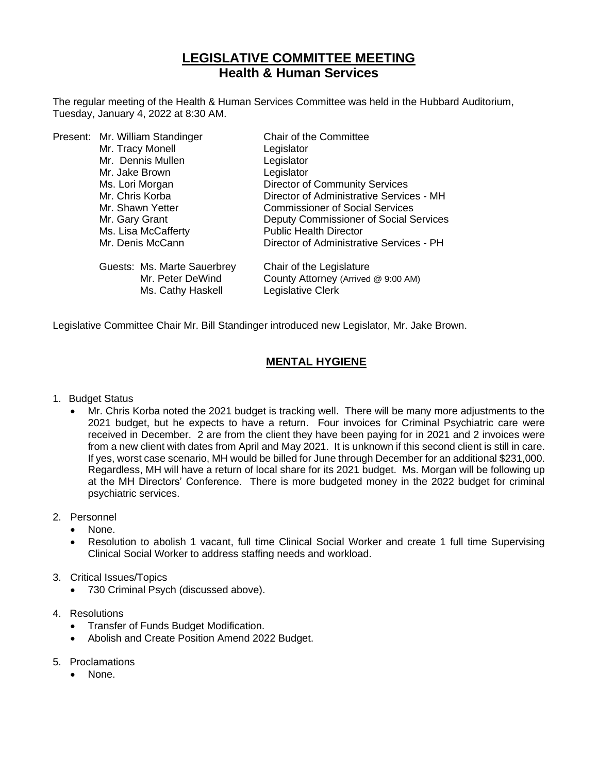# **LEGISLATIVE COMMITTEE MEETING Health & Human Services**

The regular meeting of the Health & Human Services Committee was held in the Hubbard Auditorium, Tuesday, January 4, 2022 at 8:30 AM.

|  | Present: Mr. William Standinger | Chair of the Committee                   |
|--|---------------------------------|------------------------------------------|
|  | Mr. Tracy Monell                | Legislator                               |
|  | Mr. Dennis Mullen               | Legislator                               |
|  | Mr. Jake Brown                  | Legislator                               |
|  | Ms. Lori Morgan                 | <b>Director of Community Services</b>    |
|  | Mr. Chris Korba                 | Director of Administrative Services - MH |
|  | Mr. Shawn Yetter                | <b>Commissioner of Social Services</b>   |
|  | Mr. Gary Grant                  | Deputy Commissioner of Social Services   |
|  | Ms. Lisa McCafferty             | <b>Public Health Director</b>            |
|  | Mr. Denis McCann                | Director of Administrative Services - PH |
|  | Guests: Ms. Marte Sauerbrey     | Chair of the Legislature                 |
|  | Mr. Peter DeWind                | County Attorney (Arrived @ 9:00 AM)      |
|  | Ms. Cathy Haskell               | Legislative Clerk                        |
|  |                                 |                                          |

Legislative Committee Chair Mr. Bill Standinger introduced new Legislator, Mr. Jake Brown.

### **MENTAL HYGIENE**

#### 1. Budget Status

• Mr. Chris Korba noted the 2021 budget is tracking well. There will be many more adjustments to the 2021 budget, but he expects to have a return. Four invoices for Criminal Psychiatric care were received in December. 2 are from the client they have been paying for in 2021 and 2 invoices were from a new client with dates from April and May 2021. It is unknown if this second client is still in care. If yes, worst case scenario, MH would be billed for June through December for an additional \$231,000. Regardless, MH will have a return of local share for its 2021 budget. Ms. Morgan will be following up at the MH Directors' Conference. There is more budgeted money in the 2022 budget for criminal psychiatric services.

#### 2. Personnel

- None.
- Resolution to abolish 1 vacant, full time Clinical Social Worker and create 1 full time Supervising Clinical Social Worker to address staffing needs and workload.

#### 3. Critical Issues/Topics

- 730 Criminal Psych (discussed above).
- 4. Resolutions
	- Transfer of Funds Budget Modification.
	- Abolish and Create Position Amend 2022 Budget.
- 5. Proclamations
	- None.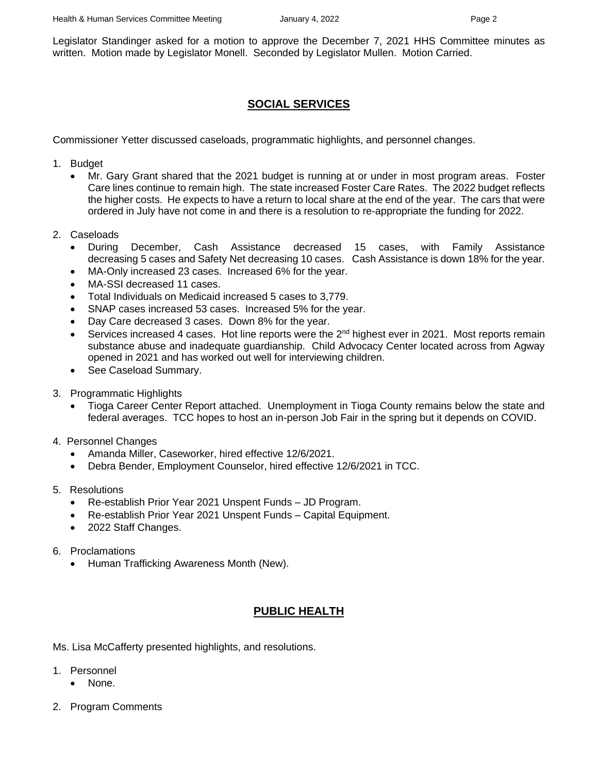Legislator Standinger asked for a motion to approve the December 7, 2021 HHS Committee minutes as written. Motion made by Legislator Monell. Seconded by Legislator Mullen. Motion Carried.

## **SOCIAL SERVICES**

Commissioner Yetter discussed caseloads, programmatic highlights, and personnel changes.

- 1. Budget
	- Mr. Gary Grant shared that the 2021 budget is running at or under in most program areas. Foster Care lines continue to remain high. The state increased Foster Care Rates. The 2022 budget reflects the higher costs. He expects to have a return to local share at the end of the year. The cars that were ordered in July have not come in and there is a resolution to re-appropriate the funding for 2022.
- 2. Caseloads
	- During December, Cash Assistance decreased 15 cases, with Family Assistance decreasing 5 cases and Safety Net decreasing 10 cases. Cash Assistance is down 18% for the year.
	- MA-Only increased 23 cases. Increased 6% for the year.
	- MA-SSI decreased 11 cases.
	- Total Individuals on Medicaid increased 5 cases to 3,779.
	- SNAP cases increased 53 cases. Increased 5% for the year.
	- Day Care decreased 3 cases. Down 8% for the year.
	- Services increased 4 cases. Hot line reports were the  $2<sup>nd</sup>$  highest ever in 2021. Most reports remain substance abuse and inadequate guardianship. Child Advocacy Center located across from Agway opened in 2021 and has worked out well for interviewing children.
	- See Caseload Summary.
- 3. Programmatic Highlights
	- Tioga Career Center Report attached. Unemployment in Tioga County remains below the state and federal averages. TCC hopes to host an in-person Job Fair in the spring but it depends on COVID.
- 4. Personnel Changes
	- Amanda Miller, Caseworker, hired effective 12/6/2021.
	- Debra Bender, Employment Counselor, hired effective 12/6/2021 in TCC.
- 5. Resolutions
	- Re-establish Prior Year 2021 Unspent Funds JD Program.
	- Re-establish Prior Year 2021 Unspent Funds Capital Equipment.
	- 2022 Staff Changes.
- 6. Proclamations
	- Human Trafficking Awareness Month (New).

## **PUBLIC HEALTH**

Ms. Lisa McCafferty presented highlights, and resolutions.

- 1. Personnel
	- None.
- 2. Program Comments